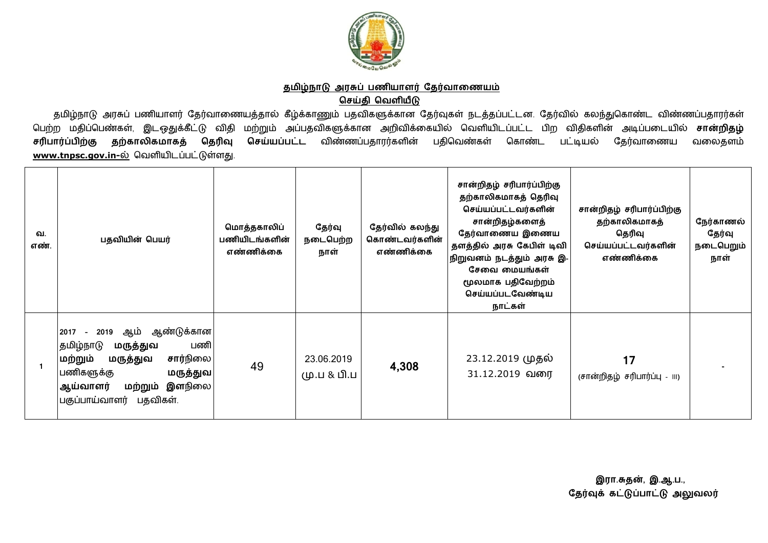

## தமிழ்நாடு அரசுப் பணியாளர் தேர்வாணையம் **ெசதி ெவளய**

தமிழ்நாடு அரசுப் பணியாளர் தேர்வாணையத்தால் கீழ்க்காணும் பதவிகளுக்கான தேர்வுகள் நடத்தப்பட்டன. தேர்வில் கலந்துகொண்ட விண்ணப்பதாரர்கள் பெற்ற மதிப்பெண்கள், இடஒதுக்கீட்டு விதி மற்றும் அப்பதவிகளுக்கான அறிவிக்கையில் வெளியிடப்பட்ட பிற விதிகளின் அடிப்படையில் **சான்றிதழ்** வலைதளம் **சரிபார்ப்பிற்கு தற்காலிகமாகத் தெரிவு செய்யப்பட்ட** விண்ணப்பதாரர்களின் பதிவெண்கள் கொண்ட பட்டியல் தேர்வாணைய <u>www.tnpsc.gov.in-ல்</u> வெளியிடப்பட்டுள்ளது.

| வ.<br>எண். | பதவியின் பெயர்                                                                                                                                                                                         | மொத்தகாலிப்<br>பணியிடங்களின்<br>எண்ணிக்கை | தேர்வு<br>நடைபெற்ற<br>நாள் | தேர்வில் கலந்து<br>கொண்டவர்களின்<br>எண்ணிக்கை | சான்றிதழ் சரிபார்ப்பிற்கு<br>தற்காலிகமாகத் தெரிவு<br>செய்யப்பட்டவர்களின்<br>சான்றிதழ்களைத்<br>தேர்வாணைய இணைய<br>தளத்தில் அரசு கேபிள் டிவி<br>நிறுவனம் நடத்தும் அரசு இ-<br>சேவை மையங்கள்<br>மூலமாக பதிவேற்றம்<br>செய்யப்படவேண்டிய<br>நாட்கள் | சான்றிதழ் சரிபார்ப்பிற்கு<br>தற்காலிகமாகத்<br>தெரிவு<br>செய்யப்பட்டவர்களின்<br>எண்ணிக்கை | நேர்காணல்<br>தேர்வு<br>நடைபெறும்<br>நாள் |
|------------|--------------------------------------------------------------------------------------------------------------------------------------------------------------------------------------------------------|-------------------------------------------|----------------------------|-----------------------------------------------|---------------------------------------------------------------------------------------------------------------------------------------------------------------------------------------------------------------------------------------------|------------------------------------------------------------------------------------------|------------------------------------------|
|            | ஆம் ஆண்டுக்கான <br>2019<br>2017<br>$\sim$<br> தமிழ்நாடு<br>பணி<br>மருத்துவ<br>சார்நிலை <br>மற்றும்<br>மருத்துவ<br>பணிகளுக்கு<br>மருத்துவ <br>இளநிலை <br>மற்றும்<br>ஆய்வாளர்<br>பகுப்பாய்வாளர் பதவிகள். | 49                                        | 23.06.2019<br>மு.ப & பி.ப  | 4,308                                         | 23.12.2019 முதல்<br>31.12.2019 வரை                                                                                                                                                                                                          | 17<br>(சான்றிதழ் சரிபார்ப்பு - !!!)                                                      |                                          |